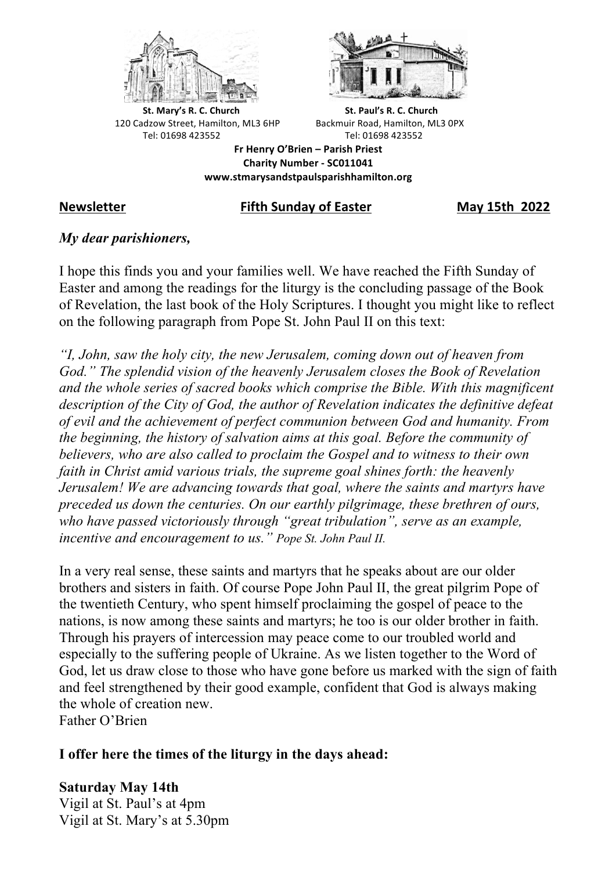



**St.** Mary's R. C. Church St. Paul's R. C. Church 120 Cadzow Street, Hamilton, ML3 6HP Backmuir Road, Hamilton, ML3 0PX Tel: 01698 423552 Tel: 01698 423552

**Fr Henry O'Brien – Parish Priest Charity Number - SC011041 www.stmarysandstpaulsparishhamilton.org**

## **Newsletter Fifth Sunday of Easter May 15th 2022**

# *My dear parishioners,*

I hope this finds you and your families well. We have reached the Fifth Sunday of Easter and among the readings for the liturgy is the concluding passage of the Book of Revelation, the last book of the Holy Scriptures. I thought you might like to reflect on the following paragraph from Pope St. John Paul II on this text:

*"I, John, saw the holy city, the new Jerusalem, coming down out of heaven from God." The splendid vision of the heavenly Jerusalem closes the Book of Revelation and the whole series of sacred books which comprise the Bible. With this magnificent description of the City of God, the author of Revelation indicates the definitive defeat of evil and the achievement of perfect communion between God and humanity. From the beginning, the history of salvation aims at this goal. Before the community of believers, who are also called to proclaim the Gospel and to witness to their own faith in Christ amid various trials, the supreme goal shines forth: the heavenly Jerusalem! We are advancing towards that goal, where the saints and martyrs have preceded us down the centuries. On our earthly pilgrimage, these brethren of ours, who have passed victoriously through "great tribulation", serve as an example, incentive and encouragement to us." Pope St. John Paul II.*

In a very real sense, these saints and martyrs that he speaks about are our older brothers and sisters in faith. Of course Pope John Paul II, the great pilgrim Pope of the twentieth Century, who spent himself proclaiming the gospel of peace to the nations, is now among these saints and martyrs; he too is our older brother in faith. Through his prayers of intercession may peace come to our troubled world and especially to the suffering people of Ukraine. As we listen together to the Word of God, let us draw close to those who have gone before us marked with the sign of faith and feel strengthened by their good example, confident that God is always making the whole of creation new. Father O'Brien

**I offer here the times of the liturgy in the days ahead:**

**Saturday May 14th** Vigil at St. Paul's at 4pm

Vigil at St. Mary's at 5.30pm